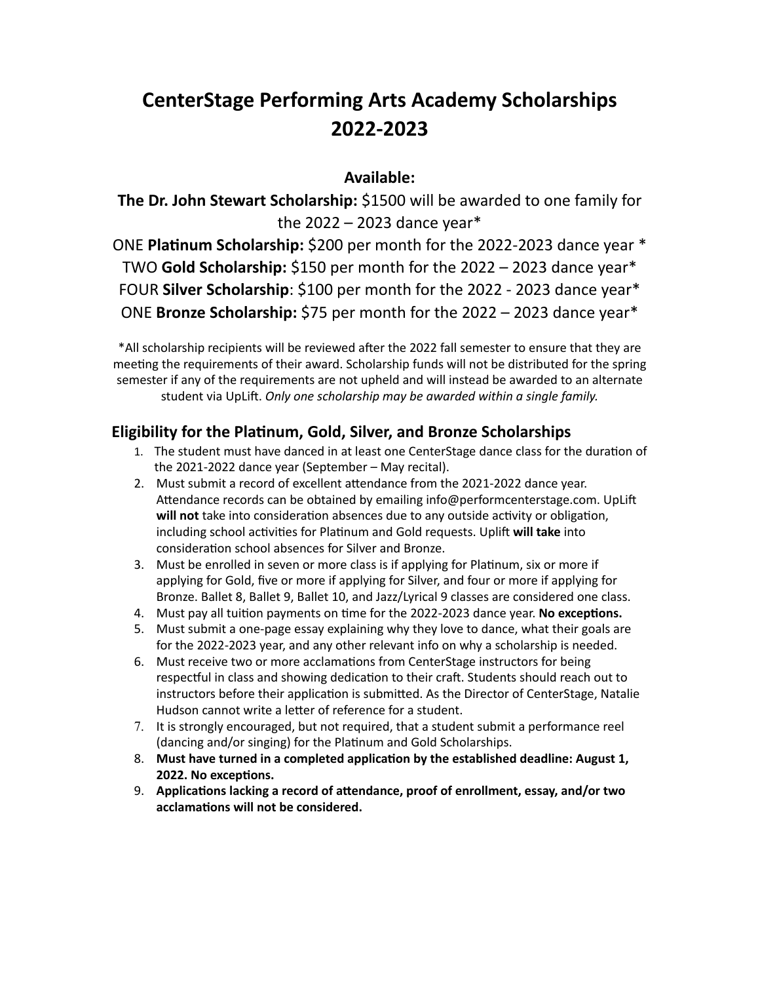# **CenterStage Performing Arts Academy Scholarships 2022-2023**

## **Available:**

**The Dr. John Stewart Scholarship:** \$1500 will be awarded to one family for the  $2022 - 2023$  dance year\*

ONE **Platinum Scholarship:** \$200 per month for the 2022-2023 dance year \* TWO **Gold Scholarship:** \$150 per month for the 2022 – 2023 dance year\* FOUR **Silver Scholarship**: \$100 per month for the 2022 - 2023 dance year\* ONE **Bronze Scholarship:** \$75 per month for the 2022 – 2023 dance year\*

\*All scholarship recipients will be reviewed after the 2022 fall semester to ensure that they are meeting the requirements of their award. Scholarship funds will not be distributed for the spring semester if any of the requirements are not upheld and will instead be awarded to an alternate student via UpLift. *Only one scholarship may be awarded within a single family.*

## **Eligibility for the Platinum, Gold, Silver, and Bronze Scholarships**

- 1. The student must have danced in at least one CenterStage dance class for the duration of the 2021-2022 dance year (September – May recital).
- 2. Must submit a record of excellent attendance from the 2021-2022 dance year. Attendance records can be obtained by emailing info@performcenterstage.com. UpLift **will not** take into consideration absences due to any outside activity or obligation, including school activities for Platinum and Gold requests. Uplift **will take** into consideration school absences for Silver and Bronze.
- 3. Must be enrolled in seven or more class is if applying for Platinum, six or more if applying for Gold, five or more if applying for Silver, and four or more if applying for Bronze. Ballet 8, Ballet 9, Ballet 10, and Jazz/Lyrical 9 classes are considered one class.
- 4. Must pay all tuition payments on time for the 2022-2023 dance year. **No exceptions.**
- 5. Must submit a one-page essay explaining why they love to dance, what their goals are for the 2022-2023 year, and any other relevant info on why a scholarship is needed.
- 6. Must receive two or more acclamations from CenterStage instructors for being respectful in class and showing dedication to their craft. Students should reach out to instructors before their application is submitted. As the Director of CenterStage, Natalie Hudson cannot write a letter of reference for a student.
- 7. It is strongly encouraged, but not required, that a student submit a performance reel (dancing and/or singing) for the Platinum and Gold Scholarships.
- 8. **Must have turned in a completed application by the established deadline: August 1, 2022. No exceptions.**
- 9. **Applications lacking a record of attendance, proof of enrollment, essay, and/or two acclamations will not be considered.**